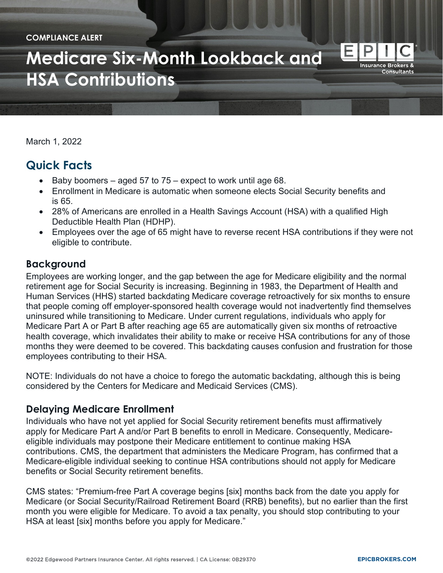#### **COMPLIANCE ALERT**

# **[Medicare Six-Month Lookback](https://epicbrokers.com/) and HSA Contributions**

March 1, 2022

# **Quick Facts**

- Baby boomers aged 57 to  $75$  expect to work until age 68.
- Enrollment in Medicare is automatic when someone elects Social Security benefits and is 65.
- 28% of Americans are enrolled in a Health Savings Account (HSA) with a qualified High Deductible Health Plan (HDHP).
- Employees over the age of 65 might have to reverse recent HSA contributions if they were not eligible to contribute.

#### **Background**

Employees are working longer, and the gap between the age for Medicare eligibility and the normal retirement age for Social Security is increasing. Beginning in 1983, the Department of Health and Human Services (HHS) started backdating Medicare coverage retroactively for six months to ensure that people coming off employer-sponsored health coverage would not inadvertently find themselves uninsured while transitioning to Medicare. Under current regulations, individuals who apply for Medicare Part A or Part B after reaching age 65 are automatically given six months of retroactive health coverage, which invalidates their ability to make or receive HSA contributions for any of those months they were deemed to be covered. This backdating causes confusion and frustration for those employees contributing to their HSA.

NOTE: Individuals do not have a choice to forego the automatic backdating, although this is being considered by the Centers for Medicare and Medicaid Services (CMS).

### **Delaying Medicare Enrollment**

Individuals who have not yet applied for Social Security retirement benefits must affirmatively apply for Medicare Part A and/or Part B benefits to enroll in Medicare. Consequently, Medicareeligible individuals may postpone their Medicare entitlement to continue making HSA contributions. CMS, the department that administers the Medicare Program, has confirmed that a Medicare-eligible individual seeking to continue HSA contributions should not apply for Medicare benefits or Social Security retirement benefits.

CMS states: "Premium-free Part A coverage begins [six] months back from the date you apply for Medicare (or Social Security/Railroad Retirement Board (RRB) benefits), but no earlier than the first month you were eligible for Medicare. To avoid a tax penalty, you should stop contributing to your HSA at least [six] months before you apply for Medicare."

Е

**Insurance Brokers & Consultants**